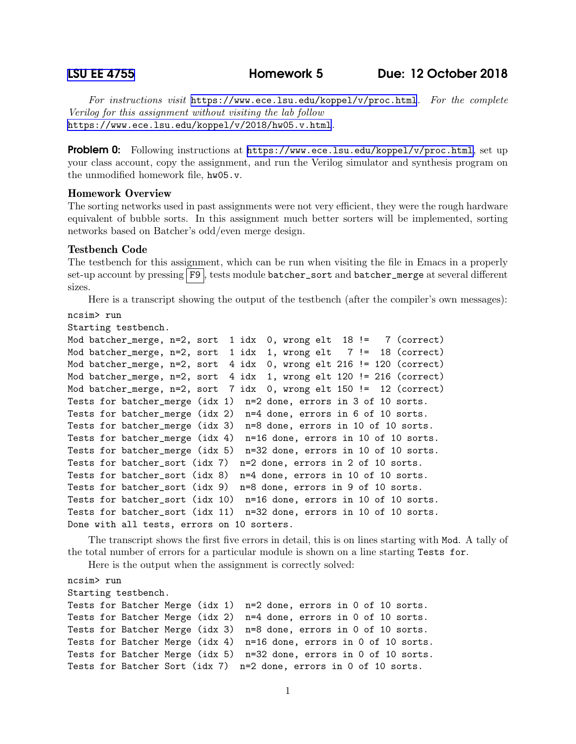[LSU EE 4755](https://www.ece.lsu.edu/koppel/v/) Homework 5 Due: 12 October 2018

For instructions visit <https://www.ece.lsu.edu/koppel/v/proc.html>. For the complete Verilog for this assignment without visiting the lab follow <https://www.ece.lsu.edu/koppel/v/2018/hw05.v.html>.

Problem 0: Following instructions at <https://www.ece.lsu.edu/koppel/v/proc.html>, set up your class account, copy the assignment, and run the Verilog simulator and synthesis program on the unmodified homework file, hw05.v.

# Homework Overview

The sorting networks used in past assignments were not very efficient, they were the rough hardware equivalent of bubble sorts. In this assignment much better sorters will be implemented, sorting networks based on Batcher's odd/even merge design.

## Testbench Code

The testbench for this assignment, which can be run when visiting the file in Emacs in a properly set-up account by pressing F9, tests module batcher\_sort and batcher\_merge at several different sizes.

Here is a transcript showing the output of the testbench (after the compiler's own messages):

```
ncsim> run
```

```
Starting testbench.
```

```
Mod batcher_merge, n=2, sort 1 idx 0, wrong elt 18 != 7 (correct)
Mod batcher_merge, n=2, sort 1 idx 1, wrong elt 7 != 18 (correct)
Mod batcher_merge, n=2, sort 4 idx 0, wrong elt 216 != 120 (correct)
Mod batcher_merge, n=2, sort 4 idx 1, wrong elt 120 != 216 (correct)
Mod batcher_merge, n=2, sort 7 idx 0, wrong elt 150 != 12 (correct)
Tests for batcher_merge (idx 1) n=2 done, errors in 3 of 10 sorts.
Tests for batcher_merge (idx 2) n=4 done, errors in 6 of 10 sorts.
Tests for batcher_merge (idx 3) n=8 done, errors in 10 of 10 sorts.
Tests for batcher_merge (idx 4) n=16 done, errors in 10 of 10 sorts.
Tests for batcher_merge (idx 5) n=32 done, errors in 10 of 10 sorts.
Tests for batcher_sort (idx 7) n=2 done, errors in 2 of 10 sorts.
Tests for batcher_sort (idx 8) n=4 done, errors in 10 of 10 sorts.
Tests for batcher_sort (idx 9) n=8 done, errors in 9 of 10 sorts.
Tests for batcher_sort (idx 10) n=16 done, errors in 10 of 10 sorts.
Tests for batcher_sort (idx 11) n=32 done, errors in 10 of 10 sorts.
Done with all tests, errors on 10 sorters.
```
The transcript shows the first five errors in detail, this is on lines starting with Mod. A tally of the total number of errors for a particular module is shown on a line starting Tests for.

Here is the output when the assignment is correctly solved:

ncsim> run Starting testbench. Tests for Batcher Merge (idx 1) n=2 done, errors in 0 of 10 sorts. Tests for Batcher Merge (idx 2) n=4 done, errors in 0 of 10 sorts. Tests for Batcher Merge (idx 3) n=8 done, errors in 0 of 10 sorts. Tests for Batcher Merge (idx 4) n=16 done, errors in 0 of 10 sorts. Tests for Batcher Merge (idx 5) n=32 done, errors in 0 of 10 sorts. Tests for Batcher Sort (idx 7) n=2 done, errors in 0 of 10 sorts.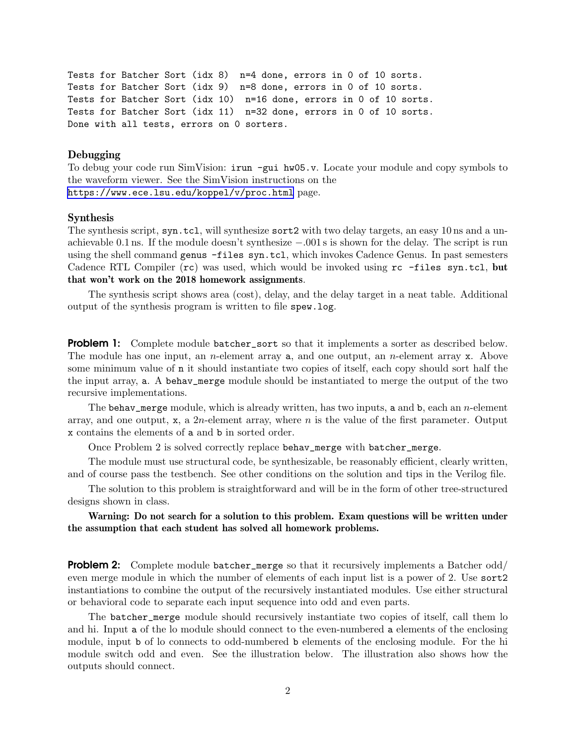```
Tests for Batcher Sort (idx 8) n=4 done, errors in 0 of 10 sorts.
Tests for Batcher Sort (idx 9) n=8 done, errors in 0 of 10 sorts.
Tests for Batcher Sort (idx 10) n=16 done, errors in 0 of 10 sorts.
Tests for Batcher Sort (idx 11) n=32 done, errors in 0 of 10 sorts.
Done with all tests, errors on 0 sorters.
```
### Debugging

To debug your code run SimVision: irun -gui hw05.v. Locate your module and copy symbols to the waveform viewer. See the SimVision instructions on the <https://www.ece.lsu.edu/koppel/v/proc.html> page.

#### Synthesis

The synthesis script, syn.tcl, will synthesize sort2 with two delay targets, an easy 10 ns and a unachievable 0.1 ns. If the module doesn't synthesize −.001 s is shown for the delay. The script is run using the shell command genus -files syn.tcl, which invokes Cadence Genus. In past semesters Cadence RTL Compiler (rc) was used, which would be invoked using rc -files syn.tcl, but that won't work on the 2018 homework assignments.

The synthesis script shows area (cost), delay, and the delay target in a neat table. Additional output of the synthesis program is written to file spew.log.

**Problem 1:** Complete module batcher\_sort so that it implements a sorter as described below. The module has one input, an *n*-element array  $a$ , and one output, an *n*-element array  $x$ . Above some minimum value of n it should instantiate two copies of itself, each copy should sort half the the input array, a. A behav\_merge module should be instantiated to merge the output of the two recursive implementations.

The behav\_merge module, which is already written, has two inputs, a and  $b$ , each an *n*-element array, and one output, x, a 2n-element array, where  $n$  is the value of the first parameter. Output x contains the elements of a and b in sorted order.

Once Problem 2 is solved correctly replace behav\_merge with batcher\_merge.

The module must use structural code, be synthesizable, be reasonably efficient, clearly written, and of course pass the testbench. See other conditions on the solution and tips in the Verilog file.

The solution to this problem is straightforward and will be in the form of other tree-structured designs shown in class.

Warning: Do not search for a solution to this problem. Exam questions will be written under the assumption that each student has solved all homework problems.

**Problem 2:** Complete module batcher\_merge so that it recursively implements a Batcher odd/ even merge module in which the number of elements of each input list is a power of 2. Use sort2 instantiations to combine the output of the recursively instantiated modules. Use either structural or behavioral code to separate each input sequence into odd and even parts.

The batcher\_merge module should recursively instantiate two copies of itself, call them lo and hi. Input a of the lo module should connect to the even-numbered a elements of the enclosing module, input b of lo connects to odd-numbered b elements of the enclosing module. For the hi module switch odd and even. See the illustration below. The illustration also shows how the outputs should connect.